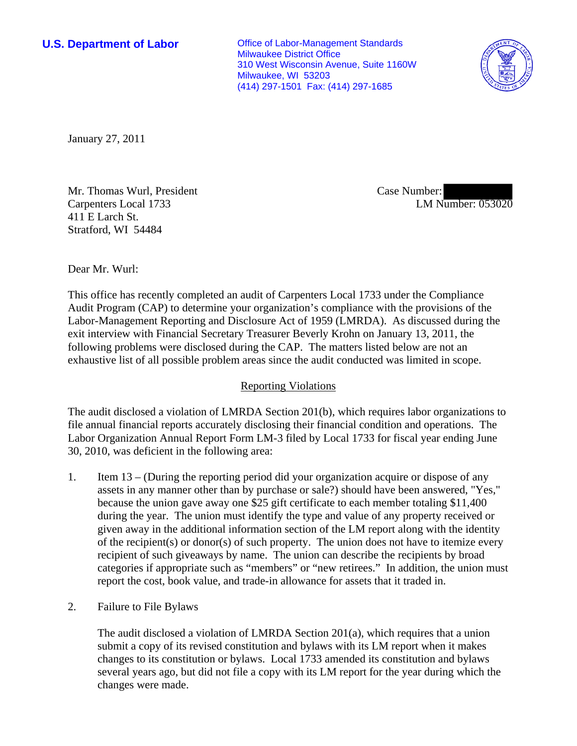**U.S. Department of Labor Conservative Conservative Conservative Conservative Conservative Conservative Conservative Conservative Conservative Conservative Conservative Conservative Conservative Conservative Conservative** Milwaukee District Office 310 West Wisconsin Avenue, Suite 1160W Milwaukee, WI 53203 (414) 297-1501 Fax: (414) 297-1685



January 27, 2011

Mr. Thomas Wurl, President Carpenters Local 1733 411 E Larch St. Stratford, WI 54484

Case Number: LM Number: 053020

Dear Mr. Wurl:

This office has recently completed an audit of Carpenters Local 1733 under the Compliance Audit Program (CAP) to determine your organization's compliance with the provisions of the Labor-Management Reporting and Disclosure Act of 1959 (LMRDA). As discussed during the exit interview with Financial Secretary Treasurer Beverly Krohn on January 13, 2011, the following problems were disclosed during the CAP. The matters listed below are not an exhaustive list of all possible problem areas since the audit conducted was limited in scope.

## Reporting Violations

The audit disclosed a violation of LMRDA Section 201(b), which requires labor organizations to file annual financial reports accurately disclosing their financial condition and operations. The Labor Organization Annual Report Form LM-3 filed by Local 1733 for fiscal year ending June 30, 2010, was deficient in the following area:

- 1. Item 13 (During the reporting period did your organization acquire or dispose of any assets in any manner other than by purchase or sale?) should have been answered, "Yes," because the union gave away one \$25 gift certificate to each member totaling \$11,400 during the year. The union must identify the type and value of any property received or given away in the additional information section of the LM report along with the identity of the recipient(s) or donor(s) of such property. The union does not have to itemize every recipient of such giveaways by name. The union can describe the recipients by broad categories if appropriate such as "members" or "new retirees." In addition, the union must report the cost, book value, and trade-in allowance for assets that it traded in.
- 2. Failure to File Bylaws

The audit disclosed a violation of LMRDA Section 201(a), which requires that a union submit a copy of its revised constitution and bylaws with its LM report when it makes changes to its constitution or bylaws. Local 1733 amended its constitution and bylaws several years ago, but did not file a copy with its LM report for the year during which the changes were made.